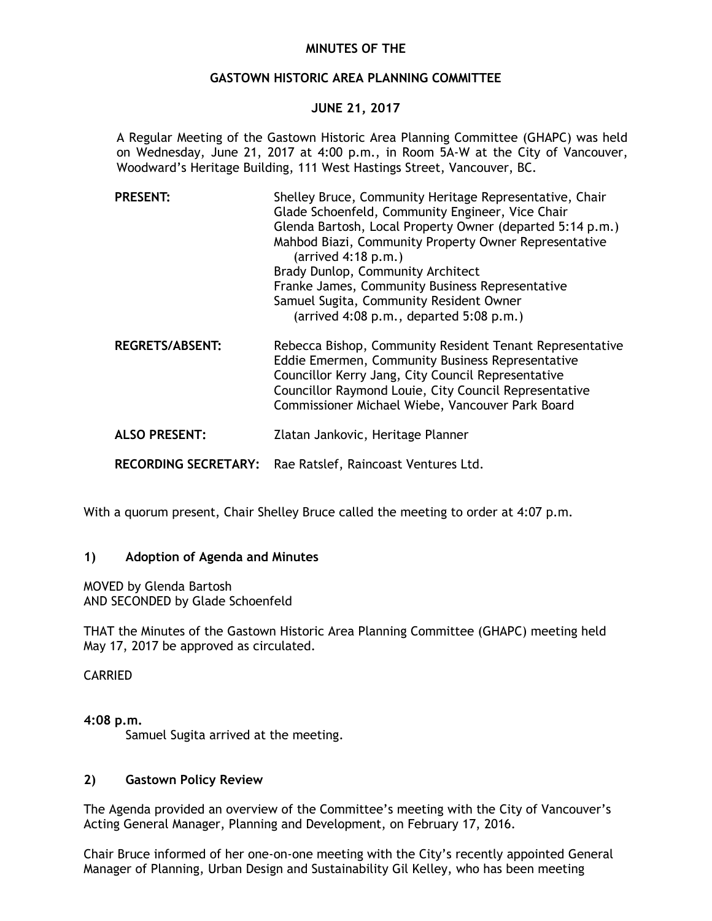# **MINUTES OF THE**

## **GASTOWN HISTORIC AREA PLANNING COMMITTEE**

# **JUNE 21, 2017**

A Regular Meeting of the Gastown Historic Area Planning Committee (GHAPC) was held on Wednesday, June 21, 2017 at 4:00 p.m., in Room 5A-W at the City of Vancouver, Woodward's Heritage Building, 111 West Hastings Street, Vancouver, BC.

| <b>PRESENT:</b>        | Shelley Bruce, Community Heritage Representative, Chair<br>Glade Schoenfeld, Community Engineer, Vice Chair<br>Glenda Bartosh, Local Property Owner (departed 5:14 p.m.)<br>Mahbod Biazi, Community Property Owner Representative<br>$(\text{arrived } 4:18 \text{ p.m.})$      |
|------------------------|---------------------------------------------------------------------------------------------------------------------------------------------------------------------------------------------------------------------------------------------------------------------------------|
|                        | Brady Dunlop, Community Architect<br>Franke James, Community Business Representative                                                                                                                                                                                            |
|                        | Samuel Sugita, Community Resident Owner<br>(arrived $4:08$ p.m., departed $5:08$ p.m.)                                                                                                                                                                                          |
| <b>REGRETS/ABSENT:</b> | Rebecca Bishop, Community Resident Tenant Representative<br>Eddie Emermen, Community Business Representative<br>Councillor Kerry Jang, City Council Representative<br>Councillor Raymond Louie, City Council Representative<br>Commissioner Michael Wiebe, Vancouver Park Board |
| <b>ALSO PRESENT:</b>   | Zlatan Jankovic, Heritage Planner                                                                                                                                                                                                                                               |

**RECORDING SECRETARY:** Rae Ratslef, Raincoast Ventures Ltd.

With a quorum present, Chair Shelley Bruce called the meeting to order at 4:07 p.m.

### **1) Adoption of Agenda and Minutes**

MOVED by Glenda Bartosh AND SECONDED by Glade Schoenfeld

THAT the Minutes of the Gastown Historic Area Planning Committee (GHAPC) meeting held May 17, 2017 be approved as circulated.

### CARRIED

**4:08 p.m.** 

Samuel Sugita arrived at the meeting.

### **2) Gastown Policy Review**

The Agenda provided an overview of the Committee's meeting with the City of Vancouver's Acting General Manager, Planning and Development, on February 17, 2016.

Chair Bruce informed of her one-on-one meeting with the City's recently appointed General Manager of Planning, Urban Design and Sustainability Gil Kelley, who has been meeting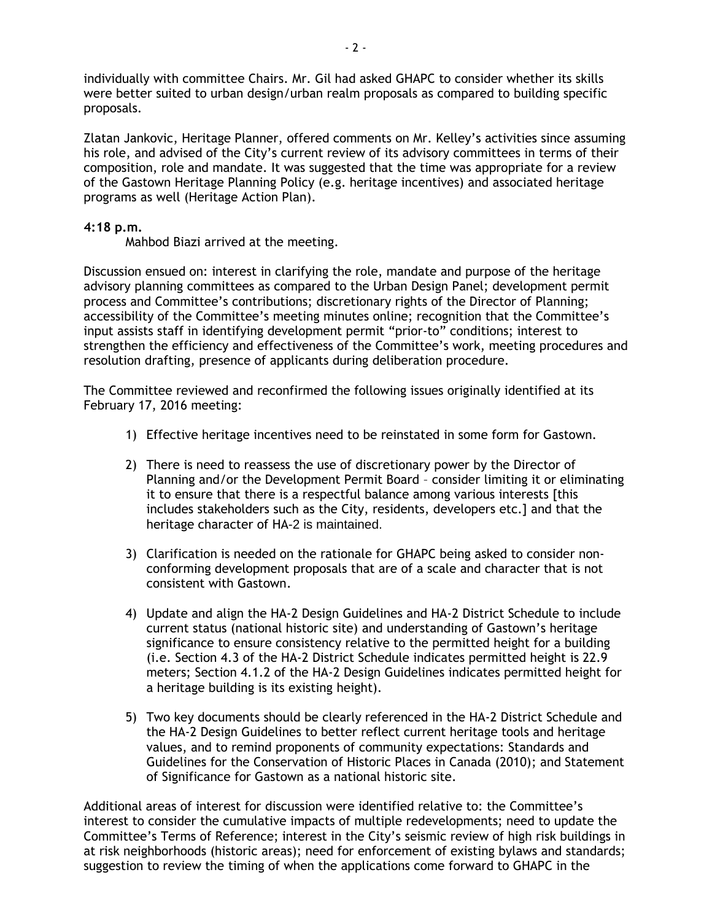individually with committee Chairs. Mr. Gil had asked GHAPC to consider whether its skills were better suited to urban design/urban realm proposals as compared to building specific proposals.

Zlatan Jankovic, Heritage Planner, offered comments on Mr. Kelley's activities since assuming his role, and advised of the City's current review of its advisory committees in terms of their composition, role and mandate. It was suggested that the time was appropriate for a review of the Gastown Heritage Planning Policy (e.g. heritage incentives) and associated heritage programs as well (Heritage Action Plan).

# **4:18 p.m.**

Mahbod Biazi arrived at the meeting.

Discussion ensued on: interest in clarifying the role, mandate and purpose of the heritage advisory planning committees as compared to the Urban Design Panel; development permit process and Committee's contributions; discretionary rights of the Director of Planning; accessibility of the Committee's meeting minutes online; recognition that the Committee's input assists staff in identifying development permit "prior-to" conditions; interest to strengthen the efficiency and effectiveness of the Committee's work, meeting procedures and resolution drafting, presence of applicants during deliberation procedure.

The Committee reviewed and reconfirmed the following issues originally identified at its February 17, 2016 meeting:

- 1) Effective heritage incentives need to be reinstated in some form for Gastown.
- 2) There is need to reassess the use of discretionary power by the Director of Planning and/or the Development Permit Board – consider limiting it or eliminating it to ensure that there is a respectful balance among various interests [this includes stakeholders such as the City, residents, developers etc.] and that the heritage character of HA-2 is maintained.
- 3) Clarification is needed on the rationale for GHAPC being asked to consider nonconforming development proposals that are of a scale and character that is not consistent with Gastown.
- 4) Update and align the HA-2 Design Guidelines and HA-2 District Schedule to include current status (national historic site) and understanding of Gastown's heritage significance to ensure consistency relative to the permitted height for a building (i.e. Section 4.3 of the HA-2 District Schedule indicates permitted height is 22.9 meters; Section 4.1.2 of the HA-2 Design Guidelines indicates permitted height for a heritage building is its existing height).
- 5) Two key documents should be clearly referenced in the HA-2 District Schedule and the HA-2 Design Guidelines to better reflect current heritage tools and heritage values, and to remind proponents of community expectations: Standards and Guidelines for the Conservation of Historic Places in Canada (2010); and Statement of Significance for Gastown as a national historic site.

Additional areas of interest for discussion were identified relative to: the Committee's interest to consider the cumulative impacts of multiple redevelopments; need to update the Committee's Terms of Reference; interest in the City's seismic review of high risk buildings in at risk neighborhoods (historic areas); need for enforcement of existing bylaws and standards; suggestion to review the timing of when the applications come forward to GHAPC in the